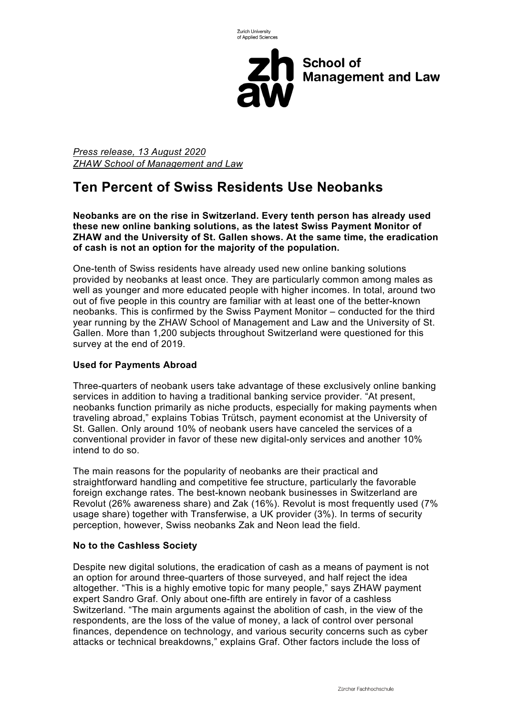

**School of Management and Law** 

*Press release, 13 August 2020 ZHAW School of Management and Law*

# **Ten Percent of Swiss Residents Use Neobanks**

**Neobanks are on the rise in Switzerland. Every tenth person has already used these new online banking solutions, as the latest Swiss Payment Monitor of ZHAW and the University of St. Gallen shows. At the same time, the eradication of cash is not an option for the majority of the population.**

One-tenth of Swiss residents have already used new online banking solutions provided by neobanks at least once. They are particularly common among males as well as younger and more educated people with higher incomes. In total, around two out of five people in this country are familiar with at least one of the better-known neobanks. This is confirmed by the Swiss Payment Monitor – conducted for the third year running by the ZHAW School of Management and Law and the University of St. Gallen. More than 1,200 subjects throughout Switzerland were questioned for this survey at the end of 2019.

# **Used for Payments Abroad**

Three-quarters of neobank users take advantage of these exclusively online banking services in addition to having a traditional banking service provider. "At present, neobanks function primarily as niche products, especially for making payments when traveling abroad," explains Tobias Trütsch, payment economist at the University of St. Gallen. Only around 10% of neobank users have canceled the services of a conventional provider in favor of these new digital-only services and another 10% intend to do so.

The main reasons for the popularity of neobanks are their practical and straightforward handling and competitive fee structure, particularly the favorable foreign exchange rates. The best-known neobank businesses in Switzerland are Revolut (26% awareness share) and Zak (16%). Revolut is most frequently used (7% usage share) together with Transferwise, a UK provider (3%). In terms of security perception, however, Swiss neobanks Zak and Neon lead the field.

# **No to the Cashless Society**

Despite new digital solutions, the eradication of cash as a means of payment is not an option for around three-quarters of those surveyed, and half reject the idea altogether. "This is a highly emotive topic for many people," says ZHAW payment expert Sandro Graf. Only about one-fifth are entirely in favor of a cashless Switzerland. "The main arguments against the abolition of cash, in the view of the respondents, are the loss of the value of money, a lack of control over personal finances, dependence on technology, and various security concerns such as cyber attacks or technical breakdowns," explains Graf. Other factors include the loss of